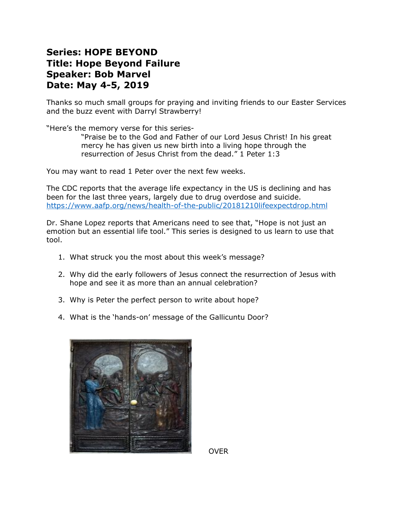## **Series: HOPE BEYOND Title: Hope Beyond Failure Speaker: Bob Marvel Date: May 4-5, 2019**

Thanks so much small groups for praying and inviting friends to our Easter Services and the buzz event with Darryl Strawberry!

"Here's the memory verse for this series-

"Praise be to the God and Father of our Lord Jesus Christ! In his great mercy he has given us new birth into a living hope through the resurrection of Jesus Christ from the dead." 1 Peter 1:3

You may want to read 1 Peter over the next few weeks.

The CDC reports that the average life expectancy in the US is declining and has been for the last three years, largely due to drug overdose and suicide. https://www.aafp.org/news/health-of-the-public/20181210lifeexpectdrop.html

Dr. Shane Lopez reports that Americans need to see that, "Hope is not just an emotion but an essential life tool." This series is designed to us learn to use that tool.

- 1. What struck you the most about this week's message?
- 2. Why did the early followers of Jesus connect the resurrection of Jesus with hope and see it as more than an annual celebration?
- 3. Why is Peter the perfect person to write about hope?
- 4. What is the 'hands-on' message of the Gallicuntu Door?



OVER